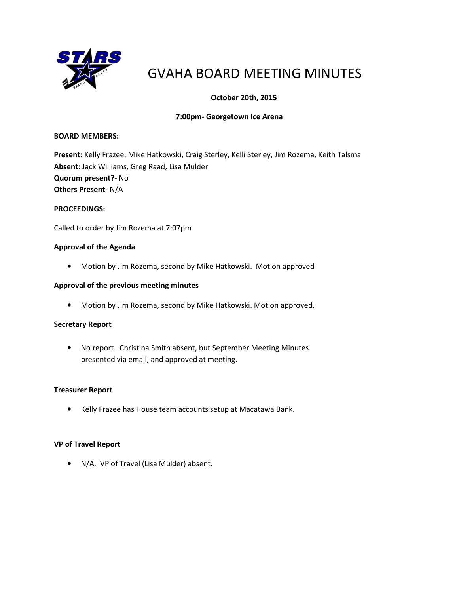

# GVAHA BOARD MEETING MINUTES

# October 20th, 2015

# 7:00pm- Georgetown Ice Arena

#### BOARD MEMBERS:

Present: Kelly Frazee, Mike Hatkowski, Craig Sterley, Kelli Sterley, Jim Rozema, Keith Talsma Absent: Jack Williams, Greg Raad, Lisa Mulder Quorum present?- No Others Present- N/A

#### PROCEEDINGS:

Called to order by Jim Rozema at 7:07pm

# Approval of the Agenda

• Motion by Jim Rozema, second by Mike Hatkowski. Motion approved

#### Approval of the previous meeting minutes

• Motion by Jim Rozema, second by Mike Hatkowski. Motion approved.

# Secretary Report

• No report. Christina Smith absent, but September Meeting Minutes presented via email, and approved at meeting.

#### Treasurer Report

• Kelly Frazee has House team accounts setup at Macatawa Bank.

# VP of Travel Report

• N/A. VP of Travel (Lisa Mulder) absent.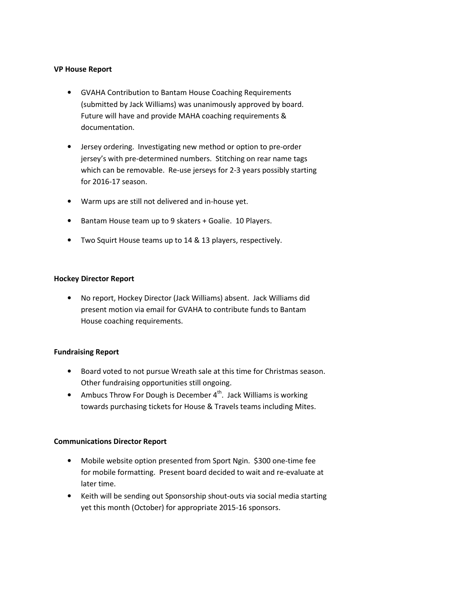#### VP House Report

- GVAHA Contribution to Bantam House Coaching Requirements (submitted by Jack Williams) was unanimously approved by board. Future will have and provide MAHA coaching requirements & documentation.
- Jersey ordering. Investigating new method or option to pre-order jersey's with pre-determined numbers. Stitching on rear name tags which can be removable. Re-use jerseys for 2-3 years possibly starting for 2016-17 season.
- Warm ups are still not delivered and in-house yet.
- Bantam House team up to 9 skaters + Goalie. 10 Players.
- Two Squirt House teams up to 14 & 13 players, respectively.

# Hockey Director Report

• No report, Hockey Director (Jack Williams) absent. Jack Williams did present motion via email for GVAHA to contribute funds to Bantam House coaching requirements.

# Fundraising Report

- Board voted to not pursue Wreath sale at this time for Christmas season. Other fundraising opportunities still ongoing.
- Ambucs Throw For Dough is December  $4^{\text{th}}$ . Jack Williams is working towards purchasing tickets for House & Travels teams including Mites.

# Communications Director Report

- Mobile website option presented from Sport Ngin. \$300 one-time fee for mobile formatting. Present board decided to wait and re-evaluate at later time.
- Keith will be sending out Sponsorship shout-outs via social media starting yet this month (October) for appropriate 2015-16 sponsors.